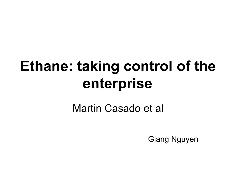#### **Ethane: taking control of the enterprise**

#### Martin Casado et al

Giang Nguyen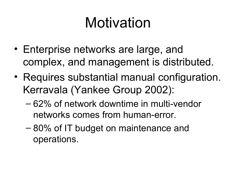## Motivation

- Enterprise networks are large, and complex, and management is distributed.
- Requires substantial manual configuration. Kerravala (Yankee Group 2002):
	- 62% of network downtime in multi-vendor networks comes from human-error.
	- 80% of IT budget on maintenance and operations.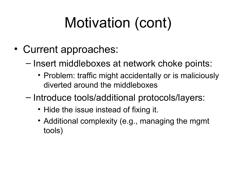# Motivation (cont)

- Current approaches:
	- Insert middleboxes at network choke points:
		- Problem: traffic might accidentally or is maliciously diverted around the middleboxes
	- Introduce tools/additional protocols/layers:
		- Hide the issue instead of fixing it.
		- Additional complexity (e.g., managing the mgmt tools)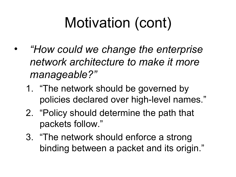# Motivation (cont)

- *"How could we change the enterprise network architecture to make it more manageable?"*
	- 1. "The network should be governed by policies declared over high-level names."
	- 2. "Policy should determine the path that packets follow."
	- 3. "The network should enforce a strong binding between a packet and its origin."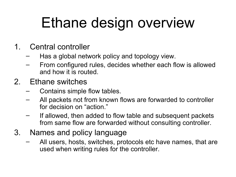## Ethane design overview

- 1. Central controller
	- Has a global network policy and topology view.
	- From configured rules, decides whether each flow is allowed and how it is routed.
- 2. Ethane switches
	- Contains simple flow tables.
	- All packets not from known flows are forwarded to controller for decision on "action."
	- If allowed, then added to flow table and subsequent packets from same flow are forwarded without consulting controller.
- 3. Names and policy language
	- All users, hosts, switches, protocols etc have names, that are used when writing rules for the controller.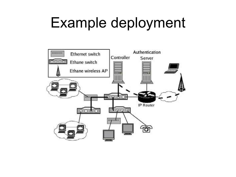#### Example deployment

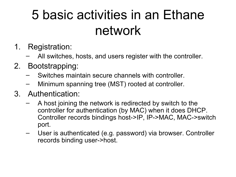#### 5 basic activities in an Ethane network

- 1. Registration:
	- All switches, hosts, and users register with the controller.
- 2. Bootstrapping:
	- Switches maintain secure channels with controller.
	- Minimum spanning tree (MST) rooted at controller.
- 3. Authentication:
	- A host joining the network is redirected by switch to the controller for authentication (by MAC) when it does DHCP. Controller records bindings host->IP, IP->MAC, MAC->switch port.
	- User is authenticated (e.g. password) via browser. Controller records binding user->host.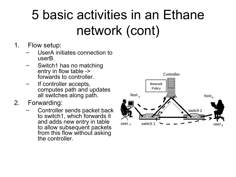#### 5 basic activities in an Ethane network (cont)

- 1. Flow setup:
	- UserA initiates connection to userB.
	- Switch1 has no matching entry in flow table -> forwards to controller.
	- If controller accepts, computes path and updates all switches along path.
- 2. Forwarding:
	- Controller sends packet back to switch1, which forwards it and adds new entry in table to allow subsequent packets from this flow without asking the controller.

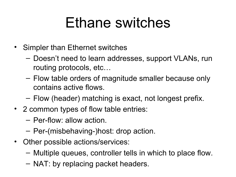#### Ethane switches

- Simpler than Ethernet switches
	- Doesn't need to learn addresses, support VLANs, run routing protocols, etc…
	- Flow table orders of magnitude smaller because only contains active flows.
	- Flow (header) matching is exact, not longest prefix.
- 2 common types of flow table entries:
	- Per-flow: allow action.
	- Per-(misbehaving-)host: drop action.
- Other possible actions/services:
	- Multiple queues, controller tells in which to place flow.
	- NAT: by replacing packet headers.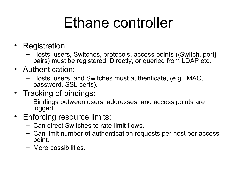## Ethane controller

- Registration:
	- Hosts, users, Switches, protocols, access points ({Switch, port} pairs) must be registered. Directly, or queried from LDAP etc.
- Authentication:
	- Hosts, users, and Switches must authenticate, (e.g., MAC, password, SSL certs).
- Tracking of bindings:
	- Bindings between users, addresses, and access points are logged.
- Enforcing resource limits:
	- Can direct Switches to rate-limit flows.
	- Can limit number of authentication requests per host per access point.
	- More possibilities.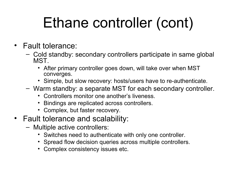## Ethane controller (cont)

- Fault tolerance:
	- Cold standby: secondary controllers participate in same global MST.
		- After primary controller goes down, will take over when MST converges.
		- Simple, but slow recovery: hosts/users have to re-authenticate.
	- Warm standby: a separate MST for each secondary controller.
		- Controllers monitor one another's liveness.
		- Bindings are replicated across controllers.
		- Complex, but faster recovery.
- Fault tolerance and scalability:
	- Multiple active controllers:
		- Switches need to authenticate with only one controller.
		- Spread flow decision queries across multiple controllers.
		- Complex consistency issues etc.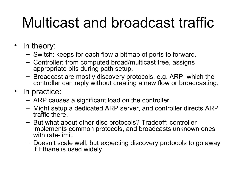## Multicast and broadcast traffic

- In theory:
	- Switch: keeps for each flow a bitmap of ports to forward.
	- Controller: from computed broad/multicast tree, assigns appropriate bits during path setup.
	- Broadcast are mostly discovery protocols, e.g. ARP, which the controller can reply without creating a new flow or broadcasting.
- In practice:
	- ARP causes a significant load on the controller.
	- Might setup a dedicated ARP server, and controller directs ARP traffic there.
	- But what about other disc protocols? Tradeoff: controller implements common protocols, and broadcasts unknown ones with rate-limit.
	- Doesn't scale well, but expecting discovery protocols to go away if Ethane is used widely.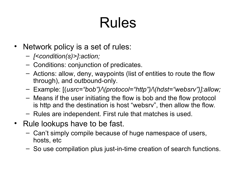## Rules

- Network policy is a set of rules:
	- *[<condition(s)>]:action;*
	- Conditions: conjunction of predicates.
	- Actions: allow, deny, waypoints (list of entities to route the flow through), and outbound-only.
	- Example: [(*usrc="bob")/\(protocol="http")/\(hdst="websrv")]:allow;*
	- Means if the user initiating the flow is bob and the flow protocol is http and the destination is host "websrv", then allow the flow*.*
	- Rules are independent. First rule that matches is used.
- Rule lookups have to be fast.
	- Can't simply compile because of huge namespace of users, hosts, etc
	- So use compilation plus just-in-time creation of search functions.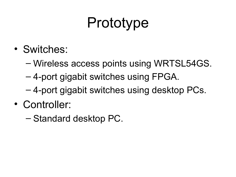## Prototype

- Switches:
	- Wireless access points using WRTSL54GS.
	- 4-port gigabit switches using FPGA.
	- 4-port gigabit switches using desktop PCs.
- Controller:
	- Standard desktop PC.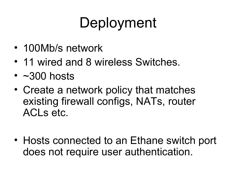# Deployment

- 100Mb/s network
- 11 wired and 8 wireless Switches.
- $\cdot$  ~300 hosts
- Create a network policy that matches existing firewall configs, NATs, router ACLs etc.
- Hosts connected to an Ethane switch port does not require user authentication.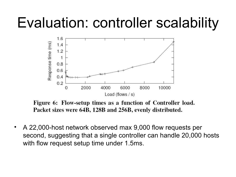#### Evaluation: controller scalability



Figure 6: Flow-setup times as a function of Controller load. Packet sizes were 64B, 128B and 256B, evenly distributed.

• A 22,000-host network observed max 9,000 flow requests per second, suggesting that a single controller can handle 20,000 hosts with flow request setup time under 1.5ms.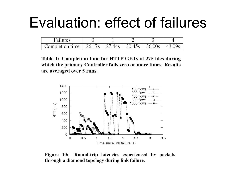#### Evaluation: effect of failures

| Failures                                                     |  |  |  |
|--------------------------------------------------------------|--|--|--|
| Completion time   26.17s   27.44s   30.45s   36.00s   43.09s |  |  |  |

Table 1: Completion time for HTTP GETs of 275 files during which the primary Controller fails zero or more times. Results are averaged over 5 runs.



Round-trip latencies experienced by packets Figure 10: through a diamond topology during link failure.